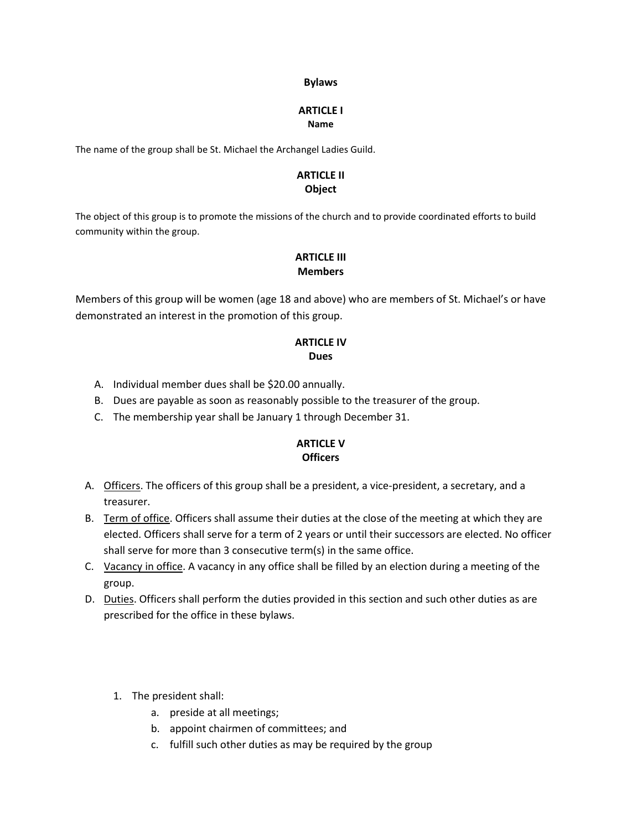#### **Bylaws**

#### **ARTICLE I Name**

The name of the group shall be St. Michael the Archangel Ladies Guild.

## **ARTICLE II Object**

The object of this group is to promote the missions of the church and to provide coordinated efforts to build community within the group.

# **ARTICLE III Members**

Members of this group will be women (age 18 and above) who are members of St. Michael's or have demonstrated an interest in the promotion of this group.

## **ARTICLE IV Dues**

- A. Individual member dues shall be \$20.00 annually.
- B. Dues are payable as soon as reasonably possible to the treasurer of the group.
- C. The membership year shall be January 1 through December 31.

# **ARTICLE V Officers**

- A. Officers. The officers of this group shall be a president, a vice-president, a secretary, and a treasurer.
- B. Term of office. Officers shall assume their duties at the close of the meeting at which they are elected. Officers shall serve for a term of 2 years or until their successors are elected. No officer shall serve for more than 3 consecutive term(s) in the same office.
- C. Vacancy in office. A vacancy in any office shall be filled by an election during a meeting of the group.
- D. Duties. Officers shall perform the duties provided in this section and such other duties as are prescribed for the office in these bylaws.
	- 1. The president shall:
		- a. preside at all meetings;
		- b. appoint chairmen of committees; and
		- c. fulfill such other duties as may be required by the group